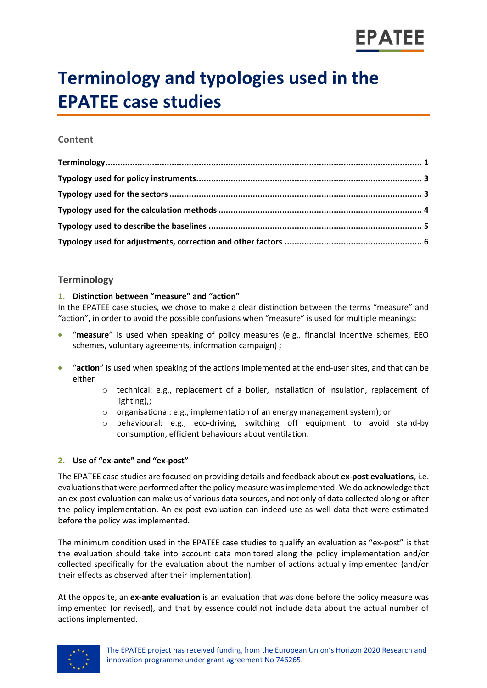# **Terminology and typologies used in the EPATEE case studies**

# **Content**

# <span id="page-0-0"></span>**Terminology**

## **1. Distinction between "measure" and "action"**

In the EPATEE case studies, we chose to make a clear distinction between the terms "measure" and "action", in order to avoid the possible confusions when "measure" is used for multiple meanings:

- "**measure**" is used when speaking of policy measures (e.g., financial incentive schemes, EEO schemes, voluntary agreements, information campaign) ;
- "**action**" is used when speaking of the actions implemented at the end-user sites, and that can be either
	- o technical: e.g., replacement of a boiler, installation of insulation, replacement of lighting),;
	- $\circ$  organisational: e.g., implementation of an energy management system); or
	- o behavioural: e.g., eco-driving, switching off equipment to avoid stand-by consumption, efficient behaviours about ventilation.

# **2. Use of "ex-ante" and "ex-post"**

The EPATEE case studies are focused on providing details and feedback about **ex-post evaluations**, i.e. evaluations that were performed after the policy measure was implemented. We do acknowledge that an ex-post evaluation can make us of various data sources, and not only of data collected along or after the policy implementation. An ex-post evaluation can indeed use as well data that were estimated before the policy was implemented.

The minimum condition used in the EPATEE case studies to qualify an evaluation as "ex-post" is that the evaluation should take into account data monitored along the policy implementation and/or collected specifically for the evaluation about the number of actions actually implemented (and/or their effects as observed after their implementation).

At the opposite, an **ex-ante evaluation** is an evaluation that was done before the policy measure was implemented (or revised), and that by essence could not include data about the actual number of actions implemented.

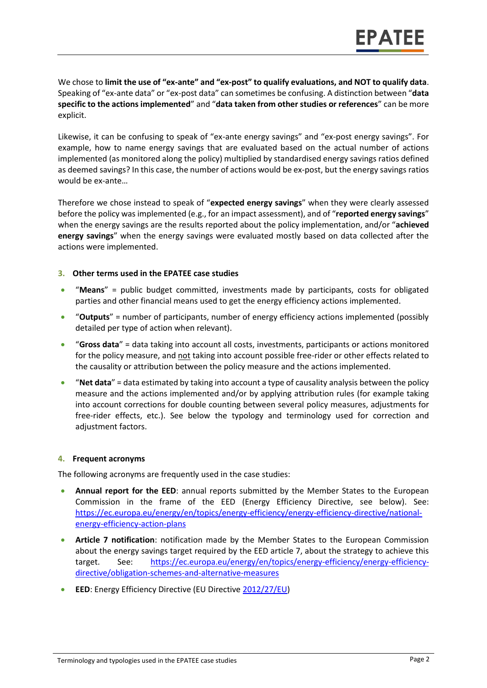We chose to **limit the use of "ex-ante" and "ex-post" to qualify evaluations, and NOT to qualify data**. Speaking of "ex-ante data" or "ex-post data" can sometimes be confusing. A distinction between "**data specific to the actions implemented**" and "**data taken from other studies or references**" can be more explicit.

Likewise, it can be confusing to speak of "ex-ante energy savings" and "ex-post energy savings". For example, how to name energy savings that are evaluated based on the actual number of actions implemented (as monitored along the policy) multiplied by standardised energy savings ratios defined as deemed savings? In this case, the number of actions would be ex-post, but the energy savings ratios would be ex-ante…

Therefore we chose instead to speak of "**expected energy savings**" when they were clearly assessed before the policy was implemented (e.g., for an impact assessment), and of "**reported energy savings**" when the energy savings are the results reported about the policy implementation, and/or "**achieved energy savings**" when the energy savings were evaluated mostly based on data collected after the actions were implemented.

#### **3. Other terms used in the EPATEE case studies**

- "**Means**" = public budget committed, investments made by participants, costs for obligated parties and other financial means used to get the energy efficiency actions implemented.
- "**Outputs**" = number of participants, number of energy efficiency actions implemented (possibly detailed per type of action when relevant).
- "**Gross data**" = data taking into account all costs, investments, participants or actions monitored for the policy measure, and not taking into account possible free-rider or other effects related to the causality or attribution between the policy measure and the actions implemented.
- "**Net data**" = data estimated by taking into account a type of causality analysis between the policy measure and the actions implemented and/or by applying attribution rules (for example taking into account corrections for double counting between several policy measures, adjustments for free-rider effects, etc.). See below the typology and terminology used for correction and adiustment factors.

#### **4. Frequent acronyms**

The following acronyms are frequently used in the case studies:

- **Annual report for the EED**: annual reports submitted by the Member States to the European Commission in the frame of the EED (Energy Efficiency Directive, see below). See: [https://ec.europa.eu/energy/en/topics/energy-efficiency/energy-efficiency-directive/national](https://ec.europa.eu/energy/en/topics/energy-efficiency/energy-efficiency-directive/national-energy-efficiency-action-plans)[energy-efficiency-action-plans](https://ec.europa.eu/energy/en/topics/energy-efficiency/energy-efficiency-directive/national-energy-efficiency-action-plans)
- **Article 7 notification**: notification made by the Member States to the European Commission about the energy savings target required by the EED article 7, about the strategy to achieve this target. See: [https://ec.europa.eu/energy/en/topics/energy-efficiency/energy-efficiency](https://ec.europa.eu/energy/en/topics/energy-efficiency/energy-efficiency-directive/obligation-schemes-and-alternative-measures)[directive/obligation-schemes-and-alternative-measures](https://ec.europa.eu/energy/en/topics/energy-efficiency/energy-efficiency-directive/obligation-schemes-and-alternative-measures)
- **EED**: Energy Efficiency Directive (EU Directiv[e 2012/27/EU\)](https://eur-lex.europa.eu/legal-content/EN/TXT/?qid=1399375464230&uri=CELEX:32012L0027)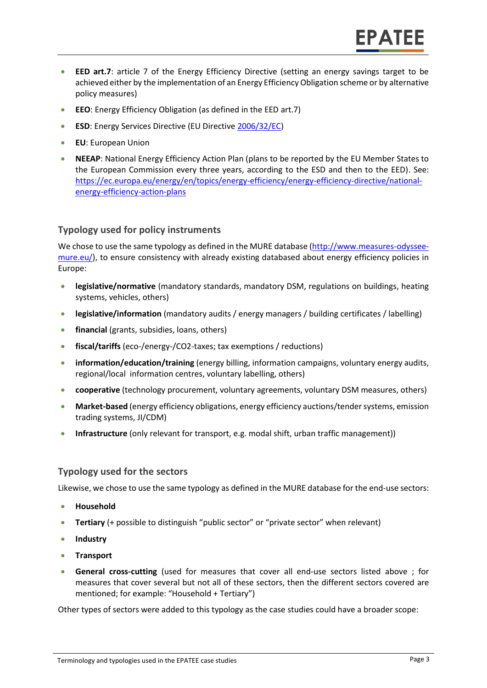- **EED art.7**: article 7 of the Energy Efficiency Directive (setting an energy savings target to be achieved either by the implementation of an Energy Efficiency Obligation scheme or by alternative policy measures)
- **EEO**: Energy Efficiency Obligation (as defined in the EED art.7)
- **ESD**: Energy Services Directive (EU Directive [2006/32/EC\)](https://eur-lex.europa.eu/legal-content/EN/TXT/?qid=1537349061071&uri=CELEX:32006L0032)
- **EU**: European Union
- **NEEAP**: National Energy Efficiency Action Plan (plans to be reported by the EU Member States to the European Commission every three years, according to the ESD and then to the EED). See: [https://ec.europa.eu/energy/en/topics/energy-efficiency/energy-efficiency-directive/national](https://ec.europa.eu/energy/en/topics/energy-efficiency/energy-efficiency-directive/national-energy-efficiency-action-plans)[energy-efficiency-action-plans](https://ec.europa.eu/energy/en/topics/energy-efficiency/energy-efficiency-directive/national-energy-efficiency-action-plans)

# <span id="page-2-0"></span>**Typology used for policy instruments**

We chose to use the same typology as defined in the MURE database [\(http://www.measures-odyssee](http://www.measures-odyssee-mure.eu/)[mure.eu/\)](http://www.measures-odyssee-mure.eu/), to ensure consistency with already existing databased about energy efficiency policies in Europe:

- **legislative/normative** (mandatory standards, mandatory DSM, regulations on buildings, heating systems, vehicles, others)
- **legislative/information** (mandatory audits / energy managers / building certificates / labelling)
- **financial** (grants, subsidies, loans, others)
- **fiscal/tariffs** (eco-/energy-/CO2-taxes; tax exemptions / reductions)
- **information/education/training** (energy billing, information campaigns, voluntary energy audits, regional/local information centres, voluntary labelling, others)
- **cooperative** (technology procurement, voluntary agreements, voluntary DSM measures, others)
- **Market-based** (energy efficiency obligations, energy efficiency auctions/tender systems, emission trading systems, JI/CDM)
- **Infrastructure** (only relevant for transport, e.g. modal shift, urban traffic management))

# <span id="page-2-1"></span>**Typology used for the sectors**

Likewise, we chose to use the same typology as defined in the MURE database for the end-use sectors:

- **Household**
- **Tertiary** (+ possible to distinguish "public sector" or "private sector" when relevant)
- **•** Industry
- **•** Transport
- **General cross-cutting** (used for measures that cover all end-use sectors listed above ; for measures that cover several but not all of these sectors, then the different sectors covered are mentioned; for example: "Household + Tertiary")

Other types of sectors were added to this typology as the case studies could have a broader scope: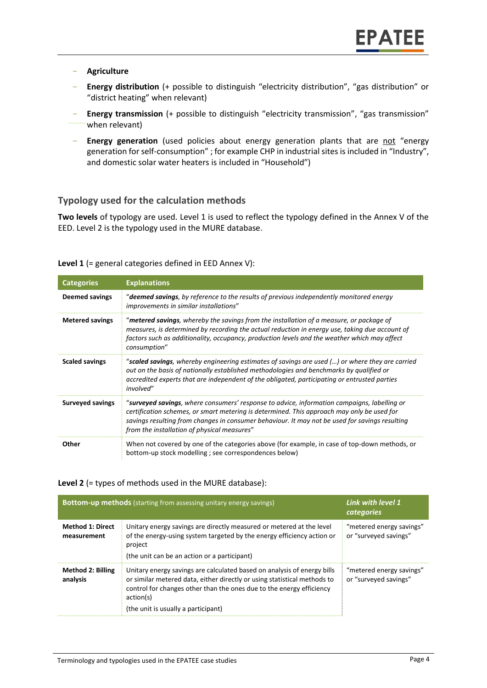#### - **Agriculture**

- **Energy distribution** (+ possible to distinguish "electricity distribution", "gas distribution" or "district heating" when relevant)
- **Energy transmission** (+ possible to distinguish "electricity transmission", "gas transmission" when relevant)
- **Energy generation** (used policies about energy generation plants that are not "energy generation for self-consumption" ; for example CHP in industrial sites is included in "Industry", and domestic solar water heaters is included in "Household")

## <span id="page-3-0"></span>**Typology used for the calculation methods**

**Two levels** of typology are used. Level 1 is used to reflect the typology defined in the Annex V of the EED. Level 2 is the typology used in the MURE database.

| <b>Categories</b>       | <b>Explanations</b>                                                                                                                                                                                                                                                                                                                        |
|-------------------------|--------------------------------------------------------------------------------------------------------------------------------------------------------------------------------------------------------------------------------------------------------------------------------------------------------------------------------------------|
| <b>Deemed savings</b>   | " <b>deemed savings</b> , by reference to the results of previous independently monitored energy<br>improvements in similar installations"                                                                                                                                                                                                 |
| <b>Metered savings</b>  | "metered savings, whereby the savings from the installation of a measure, or package of<br>measures, is determined by recording the actual reduction in energy use, taking due account of<br>factors such as additionality, occupancy, production levels and the weather which may affect<br>consumption"                                  |
| <b>Scaled savings</b>   | "scaled savings, whereby engineering estimates of savings are used () or where they are carried<br>out on the basis of nationally established methodologies and benchmarks by qualified or<br>accredited experts that are independent of the obligated, participating or entrusted parties<br>involved"                                    |
| <b>Surveyed savings</b> | "surveyed savings, where consumers' response to advice, information campaigns, labelling or<br>certification schemes, or smart metering is determined. This approach may only be used for<br>savings resulting from changes in consumer behaviour. It may not be used for savings resulting<br>from the installation of physical measures" |
| Other                   | When not covered by one of the categories above (for example, in case of top-down methods, or<br>bottom-up stock modelling ; see correspondences below)                                                                                                                                                                                    |

#### **Level 1** (= general categories defined in EED Annex V):

#### **Level 2** (= types of methods used in the MURE database):

| <b>Bottom-up methods</b> (starting from assessing unitary energy savings) |                                                                                                                                                                                                                                                                                 | Link with level 1<br>categories                   |
|---------------------------------------------------------------------------|---------------------------------------------------------------------------------------------------------------------------------------------------------------------------------------------------------------------------------------------------------------------------------|---------------------------------------------------|
| <b>Method 1: Direct</b><br>measurement                                    | Unitary energy savings are directly measured or metered at the level<br>of the energy-using system targeted by the energy efficiency action or<br>project<br>(the unit can be an action or a participant)                                                                       | "metered energy savings"<br>or "surveyed savings" |
| <b>Method 2: Billing</b><br>analysis                                      | Unitary energy savings are calculated based on analysis of energy bills<br>or similar metered data, either directly or using statistical methods to<br>control for changes other than the ones due to the energy efficiency<br>action(s)<br>(the unit is usually a participant) | "metered energy savings"<br>or "surveyed savings" |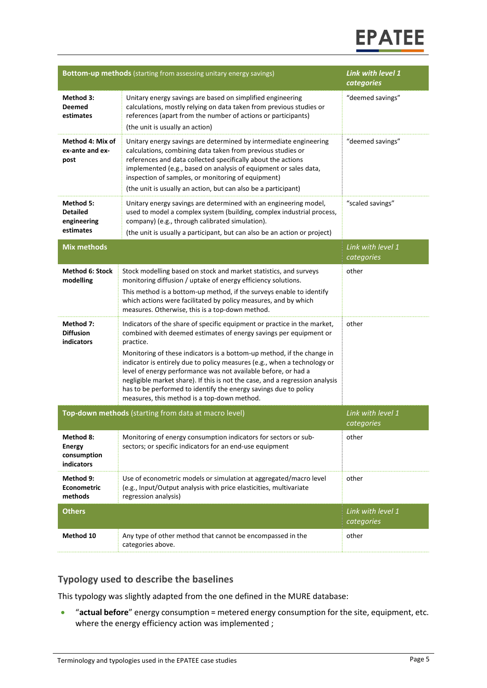

| <b>Bottom-up methods</b> (starting from assessing unitary energy savings) |                                                                                                                                                                                                                                                                                                                                                                                                                                                                                                                                                                                       | <b>Link with level 1</b><br>categories |
|---------------------------------------------------------------------------|---------------------------------------------------------------------------------------------------------------------------------------------------------------------------------------------------------------------------------------------------------------------------------------------------------------------------------------------------------------------------------------------------------------------------------------------------------------------------------------------------------------------------------------------------------------------------------------|----------------------------------------|
| Method 3:<br><b>Deemed</b><br>estimates                                   | Unitary energy savings are based on simplified engineering<br>calculations, mostly relying on data taken from previous studies or<br>references (apart from the number of actions or participants)<br>(the unit is usually an action)                                                                                                                                                                                                                                                                                                                                                 | "deemed savings"                       |
| Method 4: Mix of<br>ex-ante and ex-<br>post                               | Unitary energy savings are determined by intermediate engineering<br>calculations, combining data taken from previous studies or<br>references and data collected specifically about the actions<br>implemented (e.g., based on analysis of equipment or sales data,<br>inspection of samples, or monitoring of equipment)<br>(the unit is usually an action, but can also be a participant)                                                                                                                                                                                          | "deemed savings"                       |
| Method 5:<br><b>Detailed</b><br>engineering<br>estimates                  | Unitary energy savings are determined with an engineering model,<br>used to model a complex system (building, complex industrial process,<br>company) (e.g., through calibrated simulation).<br>(the unit is usually a participant, but can also be an action or project)                                                                                                                                                                                                                                                                                                             | "scaled savings"                       |
| <b>Mix methods</b>                                                        |                                                                                                                                                                                                                                                                                                                                                                                                                                                                                                                                                                                       | Link with level 1<br>categories        |
| <b>Method 6: Stock</b><br>modelling                                       | Stock modelling based on stock and market statistics, and surveys<br>monitoring diffusion / uptake of energy efficiency solutions.<br>This method is a bottom-up method, if the surveys enable to identify<br>which actions were facilitated by policy measures, and by which<br>measures. Otherwise, this is a top-down method.                                                                                                                                                                                                                                                      | other                                  |
| Method 7:<br><b>Diffusion</b><br>indicators                               | Indicators of the share of specific equipment or practice in the market,<br>combined with deemed estimates of energy savings per equipment or<br>practice.<br>Monitoring of these indicators is a bottom-up method, if the change in<br>indicator is entirely due to policy measures (e.g., when a technology or<br>level of energy performance was not available before, or had a<br>negligible market share). If this is not the case, and a regression analysis<br>has to be performed to identify the energy savings due to policy<br>measures, this method is a top-down method. | other                                  |
| Top-down methods (starting from data at macro level)                      |                                                                                                                                                                                                                                                                                                                                                                                                                                                                                                                                                                                       | Link with level 1<br>categories        |
| Method 8:<br><b>Energy</b><br>consumption<br>indicators                   | Monitoring of energy consumption indicators for sectors or sub-<br>sectors; or specific indicators for an end-use equipment                                                                                                                                                                                                                                                                                                                                                                                                                                                           | other                                  |
| Method 9:<br>Econometric<br>methods                                       | Use of econometric models or simulation at aggregated/macro level<br>(e.g., Input/Output analysis with price elasticities, multivariate<br>regression analysis)                                                                                                                                                                                                                                                                                                                                                                                                                       | other                                  |
| <b>Others</b>                                                             |                                                                                                                                                                                                                                                                                                                                                                                                                                                                                                                                                                                       | Link with level 1<br>categories        |
| Method 10                                                                 | Any type of other method that cannot be encompassed in the<br>categories above.                                                                                                                                                                                                                                                                                                                                                                                                                                                                                                       | other                                  |

# <span id="page-4-0"></span>**Typology used to describe the baselines**

This typology was slightly adapted from the one defined in the MURE database:

 "**actual before**" energy consumption = metered energy consumption for the site, equipment, etc. where the energy efficiency action was implemented ;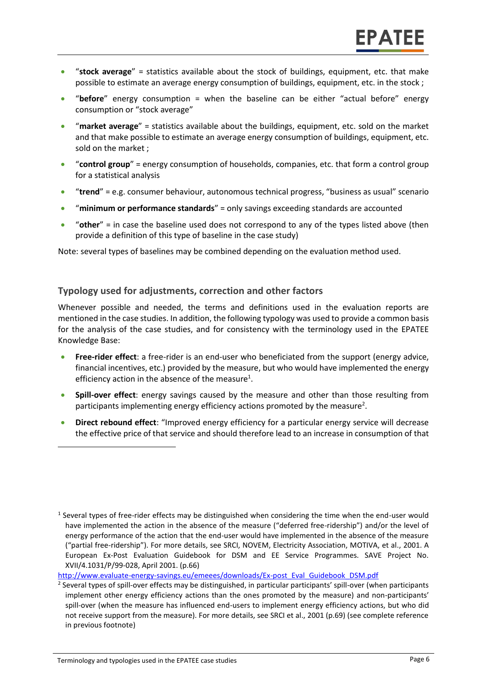- "**stock average**" = statistics available about the stock of buildings, equipment, etc. that make possible to estimate an average energy consumption of buildings, equipment, etc. in the stock ;
- "**before**" energy consumption = when the baseline can be either "actual before" energy consumption or "stock average"
- "**market average**" = statistics available about the buildings, equipment, etc. sold on the market and that make possible to estimate an average energy consumption of buildings, equipment, etc. sold on the market ;
- "**control group**" = energy consumption of households, companies, etc. that form a control group for a statistical analysis
- "**trend**" = e.g. consumer behaviour, autonomous technical progress, "business as usual" scenario
- **"minimum or performance standards**" = only savings exceeding standards are accounted
- "**other**" = in case the baseline used does not correspond to any of the types listed above (then provide a definition of this type of baseline in the case study)

Note: several types of baselines may be combined depending on the evaluation method used.

## <span id="page-5-0"></span>**Typology used for adjustments, correction and other factors**

Whenever possible and needed, the terms and definitions used in the evaluation reports are mentioned in the case studies. In addition, the following typology was used to provide a common basis for the analysis of the case studies, and for consistency with the terminology used in the EPATEE Knowledge Base:

- **Free-rider effect**: a free-rider is an end-user who beneficiated from the support (energy advice, financial incentives, etc.) provided by the measure, but who would have implemented the energy efficiency action in the absence of the measure<sup>1</sup>.
- **Spill-over effect**: energy savings caused by the measure and other than those resulting from participants implementing energy efficiency actions promoted by the measure<sup>2</sup>.
- **Direct rebound effect**: "Improved energy efficiency for a particular energy service will decrease the effective price of that service and should therefore lead to an increase in consumption of that

[http://www.evaluate-energy-savings.eu/emeees/downloads/Ex-post\\_Eval\\_Guidebook\\_DSM.pdf](http://www.evaluate-energy-savings.eu/emeees/downloads/Ex-post_Eval_Guidebook_DSM.pdf)

 $\overline{\phantom{a}}$ 

<sup>&</sup>lt;sup>1</sup> Several types of free-rider effects may be distinguished when considering the time when the end-user would have implemented the action in the absence of the measure ("deferred free-ridership") and/or the level of energy performance of the action that the end-user would have implemented in the absence of the measure ("partial free-ridership"). For more details, see SRCI, NOVEM, Electricity Association, MOTIVA, et al., 2001. A European Ex-Post Evaluation Guidebook for DSM and EE Service Programmes. SAVE Project No. XVII/4.1031/P/99-028, April 2001. (p.66)

<sup>2</sup> Several types of spill-over effects may be distinguished, in particular participants' spill-over (when participants implement other energy efficiency actions than the ones promoted by the measure) and non-participants' spill-over (when the measure has influenced end-users to implement energy efficiency actions, but who did not receive support from the measure). For more details, see SRCI et al., 2001 (p.69) (see complete reference in previous footnote)